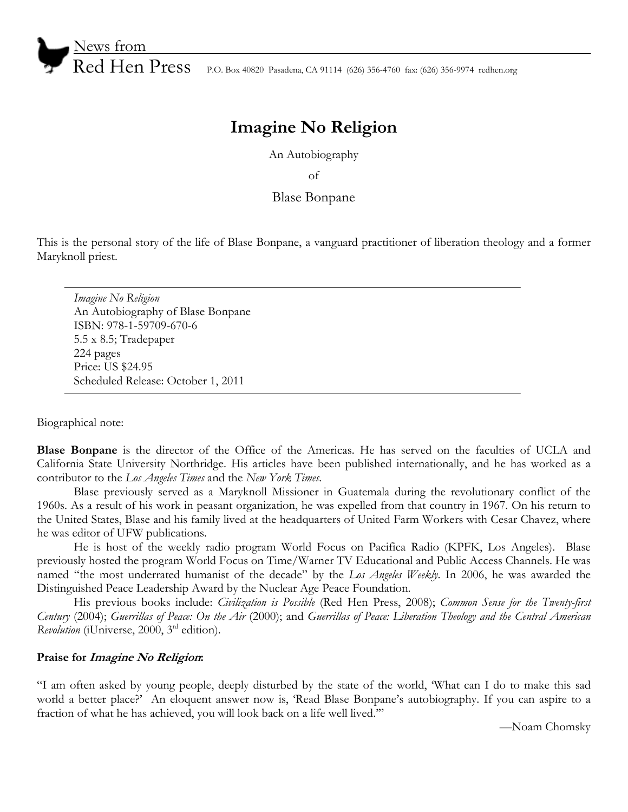

Red Hen Press P.O. Box 40820 Pasadena, CA 91114 (626) 356-4760 fax: (626) 356-9974 redhen.org

# **Imagine No Religion**

An Autobiography

of

## Blase Bonpane

This is the personal story of the life of Blase Bonpane, a vanguard practitioner of liberation theology and a former Maryknoll priest.

*Imagine No Religion*  An Autobiography of Blase Bonpane ISBN: 978-1-59709-670-6 5.5 x 8.5; Tradepaper 224 pages Price: US \$24.95 Scheduled Release: October 1, 2011

Biographical note:

**Blase Bonpane** is the director of the Office of the Americas. He has served on the faculties of UCLA and California State University Northridge. His articles have been published internationally, and he has worked as a contributor to the *Los Angeles Times* and the *New York Times.*

 Blase previously served as a Maryknoll Missioner in Guatemala during the revolutionary conflict of the 1960s. As a result of his work in peasant organization, he was expelled from that country in 1967. On his return to the United States, Blase and his family lived at the headquarters of United Farm Workers with Cesar Chavez, where he was editor of UFW publications.

 He is host of the weekly radio program World Focus on Pacifica Radio (KPFK, Los Angeles). Blase previously hosted the program World Focus on Time/Warner TV Educational and Public Access Channels. He was named "the most underrated humanist of the decade" by the *Los Angeles Weekly*. In 2006, he was awarded the Distinguished Peace Leadership Award by the Nuclear Age Peace Foundation.

 His previous books include: *Civilization is Possible* (Red Hen Press, 2008); *Common Sense for the Twenty-first Century* (2004); *Guerrillas of Peace: On the Air* (2000); and *Guerrillas of Peace: Liberation Theology and the Central American Revolution* (*i*Universe, 2000, 3<sup>rd</sup> edition).

### **Praise for Imagine No Religion:**

"I am often asked by young people, deeply disturbed by the state of the world, 'What can I do to make this sad world a better place?' An eloquent answer now is, 'Read Blase Bonpane's autobiography. If you can aspire to a fraction of what he has achieved, you will look back on a life well lived.'"

—Noam Chomsky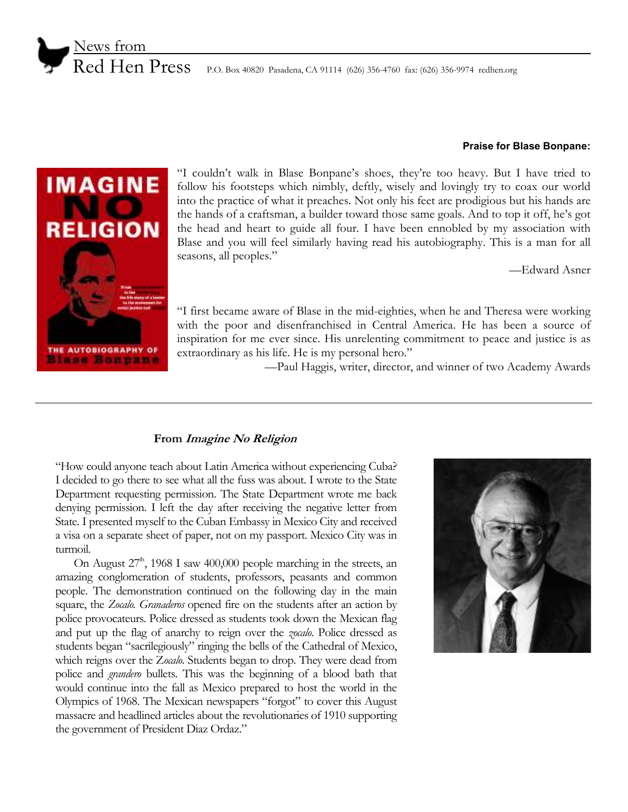

#### **Praise for Blase Bonpane:**



"I couldn't walk in Blase Bonpane's shoes, they're too heavy. But I have tried to follow his footsteps which nimbly, deftly, wisely and lovingly try to coax our world into the practice of what it preaches. Not only his feet are prodigious but his hands are the hands of a craftsman, a builder toward those same goals. And to top it off, he's got the head and heart to guide all four. I have been ennobled by my association with Blase and you will feel similarly having read his autobiography. This is a man for all seasons, all peoples."

—Edward Asner

"I first became aware of Blase in the mid-eighties, when he and Theresa were working with the poor and disenfranchised in Central America. He has been a source of inspiration for me ever since. His unrelenting commitment to peace and justice is as extraordinary as his life. He is my personal hero."

—Paul Haggis, writer, director, and winner of two Academy Awards

## **From Imagine No Religion**

"How could anyone teach about Latin America without experiencing Cuba? I decided to go there to see what all the fuss was about. I wrote to the State Department requesting permission. The State Department wrote me back denying permission. I left the day after receiving the negative letter from State. I presented myself to the Cuban Embassy in Mexico City and received a visa on a separate sheet of paper, not on my passport. Mexico City was in turmoil.

On August  $27<sup>th</sup>$ , 1968 I saw 400,000 people marching in the streets, an amazing conglomeration of students, professors, peasants and common people. The demonstration continued on the following day in the main square, the *Zocalo. Granaderos* opened fire on the students after an action by police provocateurs. Police dressed as students took down the Mexican flag and put up the flag of anarchy to reign over the *zocalo*. Police dressed as students began "sacrilegiously" ringing the bells of the Cathedral of Mexico, which reigns over the Z*ocalo*. Students began to drop. They were dead from police and *grandero* bullets. This was the beginning of a blood bath that would continue into the fall as Mexico prepared to host the world in the Olympics of 1968. The Mexican newspapers "forgot" to cover this August massacre and headlined articles about the revolutionaries of 1910 supporting the government of President Diaz Ordaz."